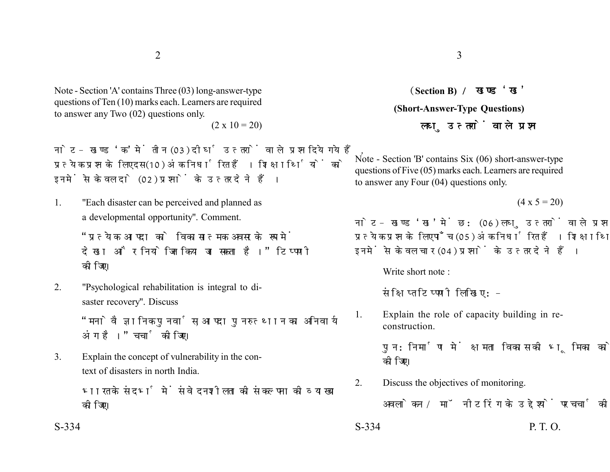Note - Section 'A' contains Three (03) long-answer-type questions of Ten (10) marks each. Learners are required to answer any Two (02) questions only.

 $(2 \times 10 = 20)$ 

नोट- खण्ड 'क' में तीन (03) दीर्घ उत्तरों वाले प्रश्न दिये गये हैं. प्रत्येक प्रश्न के लिए दस (10) अंक निर्धारित हैं। शिक्षार्थियों को इनमें से केवल दो (02) प्रश्नों के उत्तर देने हैं।

1. "Each disaster can be perceived and planned as a developmental opportunity". Comment.

> "पत्येक आपदा को विकासात्मक अवसर के रूप में देखा और नियोजित किया जा सकता है।" टिप्पणी कोजिए।

2. "Psychological rehabilitation is integral to disaster recovery". Discuss

> "मनोवैज्ञानिक पुनर्वास, आपदा पुनरुत्थान का अनिवार्य अंग है।" चर्चा कीजिए।

3. Explain the concept of vulnerability in the context of disasters in north India.

> भारत के संदर्भ में संवेदनशीलता की संकल्पना की व्याख्या कोजिए।

**Section B) (Short-Answer-Type Questions)** लघ उत्तरों वाले प्रश्न

Note - Section 'B' contains Six (06) short-answer-type questions of Five (05) marks each. Learners are required to answer any Four (04) questions only.

 $(4 \times 5 = 20)$ 

नोट- खण्ड 'ख' में छ: (06) लघु उत्तरों वाले प्रश्न दिये गये हैं, प्रत्येक प्रश्न के लिए पाँच (05) अंक निर्धारित हैं। शिक्षार्थियों को इनमें से केवल चार (04) प्रश्नों के उत्तर देने हैं।

Write short note :

संक्षिप्त टिप्पणी लिखिए :-

1. Explain the role of capacity building in reconstruction.

> पुन:निर्माण में क्षमता विकास की भूमिका को स्पष्ट कोजिए।

2. Discuss the objectives of monitoring.

अवलोकन / मॉनीटरिंग के उद्देश्यों पर चर्चा कीजिए।

 $S-334$  P. T. O.